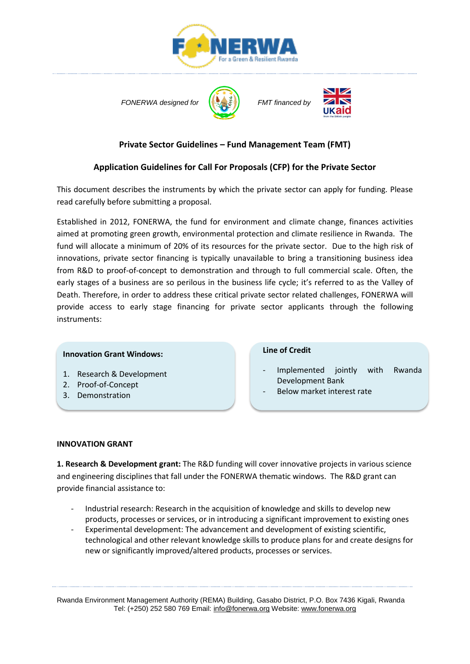





# **Private Sector Guidelines – Fund Management Team (FMT)**

# **Application Guidelines for Call For Proposals (CFP) for the Private Sector**

This document describes the instruments by which the private sector can apply for funding. Please read carefully before submitting a proposal.

Established in 2012, FONERWA, the fund for environment and climate change, finances activities aimed at promoting green growth, environmental protection and climate resilience in Rwanda. The fund will allocate a minimum of 20% of its resources for the private sector. Due to the high risk of innovations, private sector financing is typically unavailable to bring a transitioning business idea from R&D to proof-of-concept to demonstration and through to full commercial scale. Often, the early stages of a business are so perilous in the business life cycle; it's referred to as the Valley of Death. Therefore, in order to address these critical private sector related challenges, FONERWA will provide access to early stage financing for private sector applicants through the following instruments:

### **Innovation Grant Windows:**

- 1. Research & Development
- 2. Proof-of-Concept
- 3. Demonstration

## **Line of Credit**

- Implemented jointly with Rwanda Development Bank
- Below market interest rate

### **INNOVATION GRANT**

**1. Research & Development grant:** The R&D funding will cover innovative projects in various science and engineering disciplines that fall under the FONERWA thematic windows. The R&D grant can provide financial assistance to:

- Industrial research: Research in the acquisition of knowledge and skills to develop new products, processes or services, or in introducing a significant improvement to existing ones
- Experimental development: The advancement and development of existing scientific, technological and other relevant knowledge skills to produce plans for and create designs for new or significantly improved/altered products, processes or services.

Rwanda Environment Management Authority (REMA) Building, Gasabo District, P.O. Box 7436 Kigali, Rwanda Tel: (+250) 252 580 769 Email: info@fonerwa.org Website: www.fonerwa.org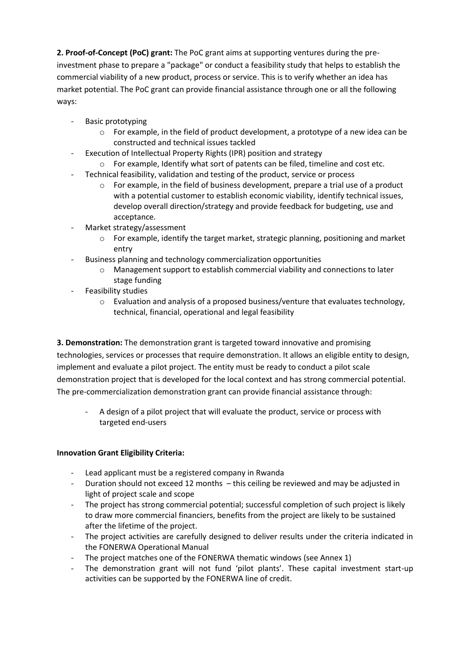**2. Proof-of-Concept (PoC) grant:** The PoC grant aims at supporting ventures during the preinvestment phase to prepare a "package" or conduct a feasibility study that helps to establish the commercial viability of a new product, process or service. This is to verify whether an idea has market potential. The PoC grant can provide financial assistance through one or all the following ways:

- Basic prototyping
	- $\circ$  For example, in the field of product development, a prototype of a new idea can be constructed and technical issues tackled
- Execution of Intellectual Property Rights (IPR) position and strategy
	- o For example, Identify what sort of patents can be filed, timeline and cost etc.
- Technical feasibility, validation and testing of the product, service or process
	- $\circ$  For example, in the field of business development, prepare a trial use of a product with a potential customer to establish economic viability, identify technical issues, develop overall direction/strategy and provide feedback for budgeting, use and acceptance.
- Market strategy/assessment
	- $\circ$  For example, identify the target market, strategic planning, positioning and market entry
- Business planning and technology commercialization opportunities
	- Management support to establish commercial viability and connections to later stage funding
- Feasibility studies
	- o Evaluation and analysis of a proposed business/venture that evaluates technology, technical, financial, operational and legal feasibility

**3. Demonstration:** The demonstration grant is targeted toward innovative and promising technologies, services or processes that require demonstration. It allows an eligible entity to design, implement and evaluate a pilot project. The entity must be ready to conduct a pilot scale demonstration project that is developed for the local context and has strong commercial potential. The pre-commercialization demonstration grant can provide financial assistance through:

- A design of a pilot project that will evaluate the product, service or process with targeted end-users

# **Innovation Grant Eligibility Criteria:**

- Lead applicant must be a registered company in Rwanda
- Duration should not exceed 12 months this ceiling be reviewed and may be adjusted in light of project scale and scope
- The project has strong commercial potential; successful completion of such project is likely to draw more commercial financiers, benefits from the project are likely to be sustained after the lifetime of the project.
- The project activities are carefully designed to deliver results under the criteria indicated in the FONERWA Operational Manual
- The project matches one of the FONERWA thematic windows (see Annex 1)
- The demonstration grant will not fund 'pilot plants'. These capital investment start-up activities can be supported by the FONERWA line of credit.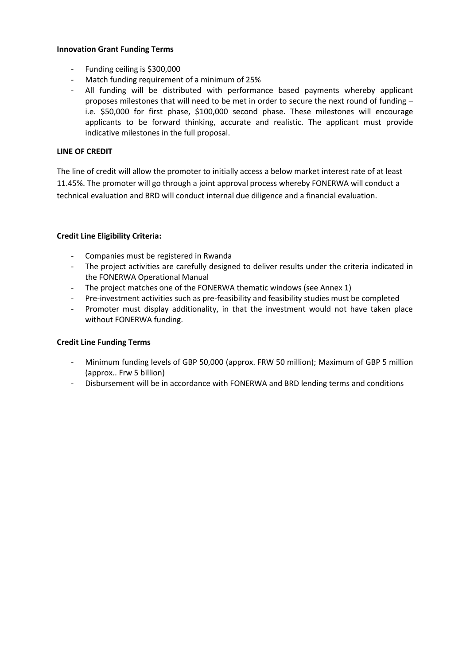#### **Innovation Grant Funding Terms**

- Funding ceiling is \$300,000
- Match funding requirement of a minimum of 25%
- All funding will be distributed with performance based payments whereby applicant proposes milestones that will need to be met in order to secure the next round of funding – i.e. \$50,000 for first phase, \$100,000 second phase. These milestones will encourage applicants to be forward thinking, accurate and realistic. The applicant must provide indicative milestones in the full proposal.

## **LINE OF CREDIT**

The line of credit will allow the promoter to initially access a below market interest rate of at least 11.45%. The promoter will go through a joint approval process whereby FONERWA will conduct a technical evaluation and BRD will conduct internal due diligence and a financial evaluation.

## **Credit Line Eligibility Criteria:**

- Companies must be registered in Rwanda
- The project activities are carefully designed to deliver results under the criteria indicated in the FONERWA Operational Manual
- The project matches one of the FONERWA thematic windows (see Annex 1)
- Pre-investment activities such as pre-feasibility and feasibility studies must be completed
- Promoter must display additionality, in that the investment would not have taken place without FONERWA funding.

### **Credit Line Funding Terms**

- Minimum funding levels of GBP 50,000 (approx. FRW 50 million); Maximum of GBP 5 million (approx.. Frw 5 billion)
- Disbursement will be in accordance with FONERWA and BRD lending terms and conditions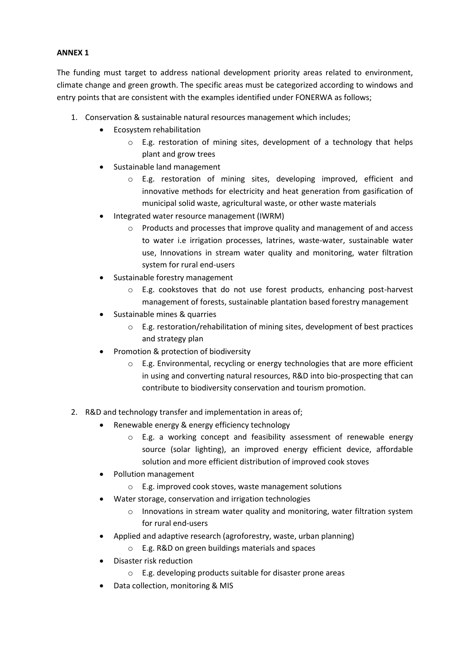## **ANNEX 1**

The funding must target to address national development priority areas related to environment, climate change and green growth. The specific areas must be categorized according to windows and entry points that are consistent with the examples identified under FONERWA as follows;

- 1. Conservation & sustainable natural resources management which includes;
	- Ecosystem rehabilitation
		- o E.g. restoration of mining sites, development of a technology that helps plant and grow trees
	- Sustainable land management
		- o E.g. restoration of mining sites, developing improved, efficient and innovative methods for electricity and heat generation from gasification of municipal solid waste, agricultural waste, or other waste materials
	- Integrated water resource management (IWRM)
		- o Products and processes that improve quality and management of and access to water i.e irrigation processes, latrines, waste-water, sustainable water use, Innovations in stream water quality and monitoring, water filtration system for rural end-users
	- Sustainable forestry management
		- $\circ$  E.g. cookstoves that do not use forest products, enhancing post-harvest management of forests, sustainable plantation based forestry management
	- Sustainable mines & quarries
		- $\circ$  E.g. restoration/rehabilitation of mining sites, development of best practices and strategy plan
	- Promotion & protection of biodiversity
		- o E.g. Environmental, recycling or energy technologies that are more efficient in using and converting natural resources, R&D into bio-prospecting that can contribute to biodiversity conservation and tourism promotion.
- 2. R&D and technology transfer and implementation in areas of;
	- Renewable energy & energy efficiency technology
		- o E.g. a working concept and feasibility assessment of renewable energy source (solar lighting), an improved energy efficient device, affordable solution and more efficient distribution of improved cook stoves
	- Pollution management
		- o E.g. improved cook stoves, waste management solutions
	- Water storage, conservation and irrigation technologies
		- $\circ$  Innovations in stream water quality and monitoring, water filtration system for rural end-users
	- Applied and adaptive research (agroforestry, waste, urban planning)
		- o E.g. R&D on green buildings materials and spaces
	- Disaster risk reduction
		- o E.g. developing products suitable for disaster prone areas
	- Data collection, monitoring & MIS